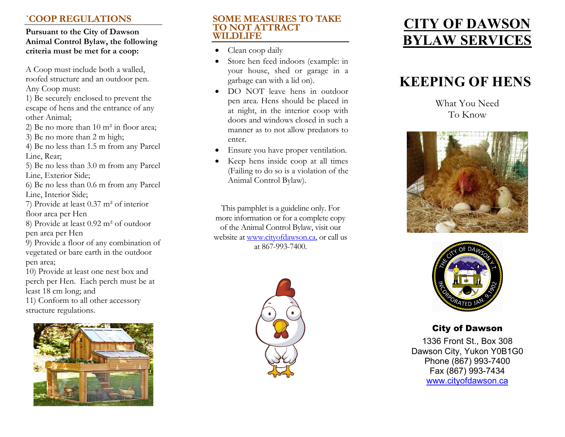# **`COOP REGULATIONS**

### **Pursuant to the City of Dawson Animal Control Bylaw, the following criteria must be met for a coop:**

A Coop must include both a walled, roofed structure and an outdoor pen. Any Coop must:

1) Be securely enclosed to prevent the escape of hens and the entrance of any other Animal;

2) Be no more than 10 m² in floor area;

3) Be no more than 2 m high;

4) Be no less than 1.5 m from any Parcel Line, Rear;

5) Be no less than 3.0 m from any Parcel Line, Exterior Side;

6) Be no less than 0.6 m from any Parcel Line, Interior Side;

7) Provide at least 0.37 m² of interior floor area per Hen

8) Provide at least 0.92 m² of outdoor pen area per Hen

9) Provide a floor of any combination of vegetated or bare earth in the outdoor pen area;

10) Provide at least one nest box and perch per Hen. Each perch must be at least 18 cm long; and 11) Conform to all other accessory structure regulations.



### **SOME MEASURES TO TAKE TO NOT ATTRACT WILDLIFE**

- 0 Clean coop daily
- 0 Store hen feed indoors (example: in your house, shed or garage in a garbage can with a lid on).
- DO NOT leave hens in outdoor pen area. Hens should be placed in at night, in the interior coop with doors and windows closed in such a manner as to not allow predators to enter.
- 0 Ensure you have proper ventilation.
- 0 Keep hens inside coop at all times (Failing to do so is a violation of the Animal Control Bylaw).

This pamphlet is a guideline only. For more information or for a complete copy of the Animal Control Bylaw, visit our website at www.cityofdawson.ca, or call us at 867-993-7400.



# **CITY OF DAWSON BYLAW SERVICES**

# **KEEPING OF HENS**

What You Need To Know





## City of Dawson

1336 Front St., Box 308 Dawson City, Yukon Y0B1G0 Phone (867) 993-7400 Fax (867) 993-7434 www.cityofdawson.ca